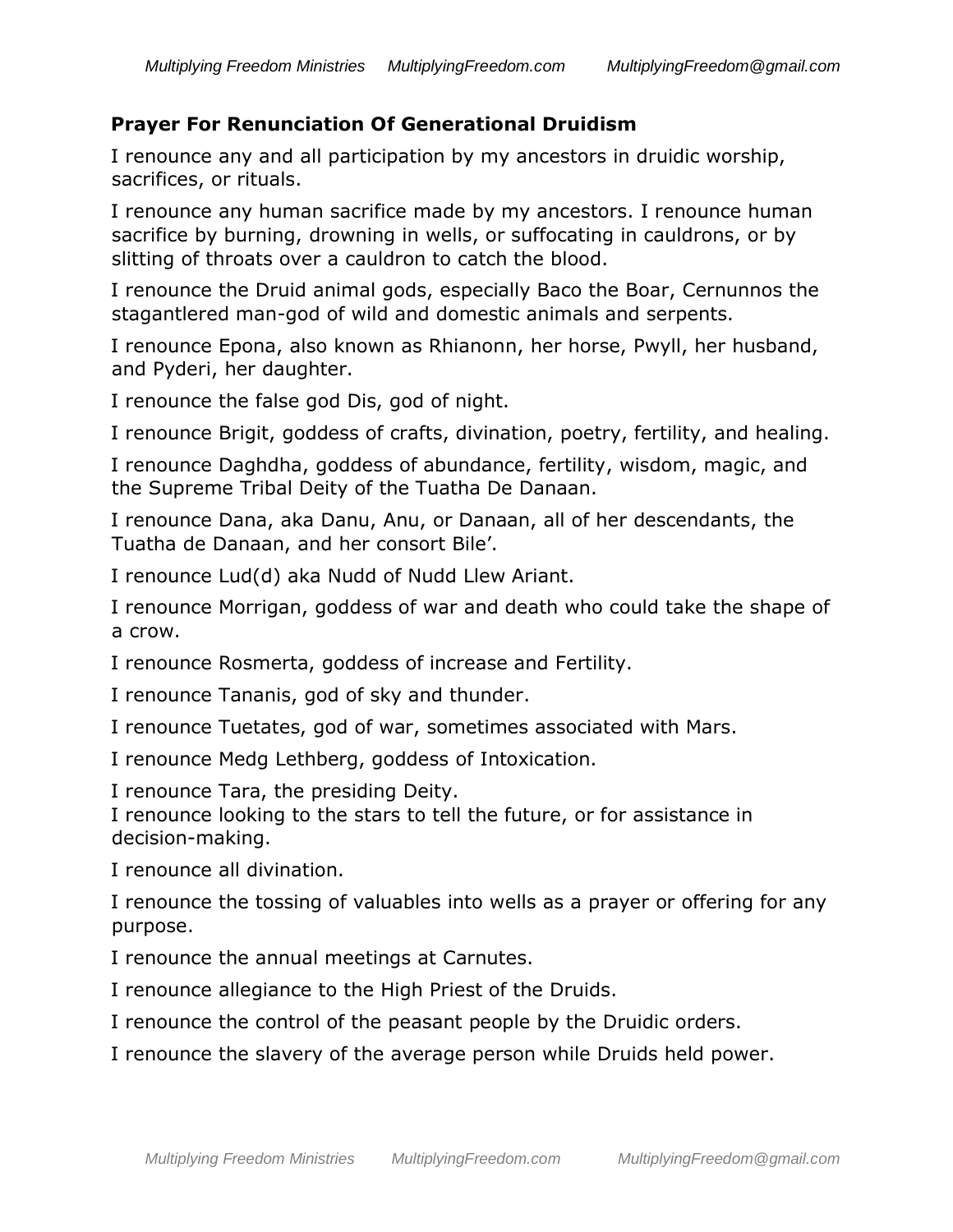## **Prayer For Renunciation Of Generational Druidism**

I renounce any and all participation by my ancestors in druidic worship, sacrifices, or rituals.

I renounce any human sacrifice made by my ancestors. I renounce human sacrifice by burning, drowning in wells, or suffocating in cauldrons, or by slitting of throats over a cauldron to catch the blood.

I renounce the Druid animal gods, especially Baco the Boar, Cernunnos the stagantlered man-god of wild and domestic animals and serpents.

I renounce Epona, also known as Rhianonn, her horse, Pwyll, her husband, and Pyderi, her daughter.

I renounce the false god Dis, god of night.

I renounce Brigit, goddess of crafts, divination, poetry, fertility, and healing.

I renounce Daghdha, goddess of abundance, fertility, wisdom, magic, and the Supreme Tribal Deity of the Tuatha De Danaan.

I renounce Dana, aka Danu, Anu, or Danaan, all of her descendants, the Tuatha de Danaan, and her consort Bile'.

I renounce Lud(d) aka Nudd of Nudd Llew Ariant.

I renounce Morrigan, goddess of war and death who could take the shape of a crow.

I renounce Rosmerta, goddess of increase and Fertility.

I renounce Tananis, god of sky and thunder.

I renounce Tuetates, god of war, sometimes associated with Mars.

I renounce Medg Lethberg, goddess of Intoxication.

I renounce Tara, the presiding Deity.

I renounce looking to the stars to tell the future, or for assistance in decision-making.

I renounce all divination.

I renounce the tossing of valuables into wells as a prayer or offering for any purpose.

I renounce the annual meetings at Carnutes.

I renounce allegiance to the High Priest of the Druids.

I renounce the control of the peasant people by the Druidic orders.

I renounce the slavery of the average person while Druids held power.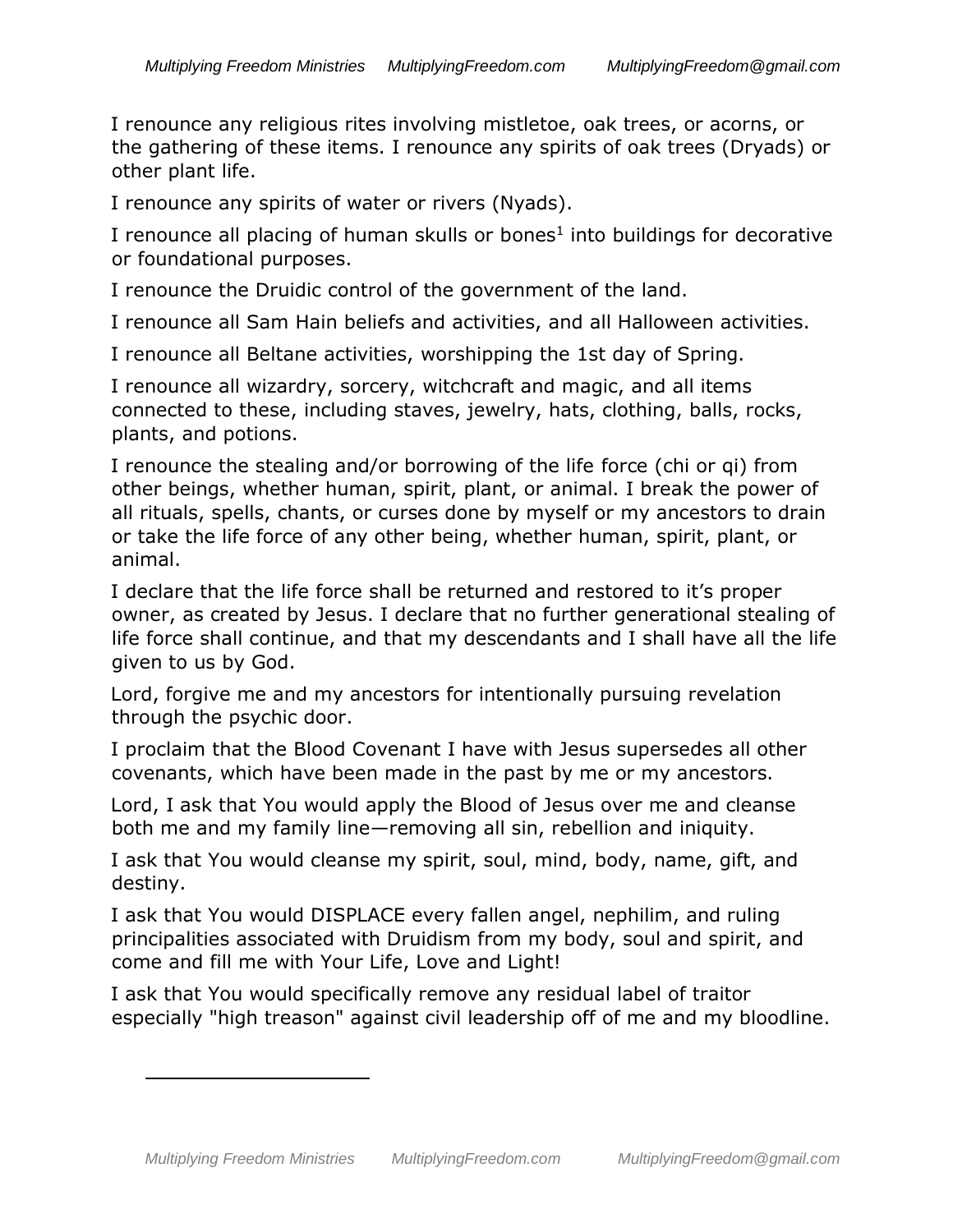I renounce any religious rites involving mistletoe, oak trees, or acorns, or the gathering of these items. I renounce any spirits of oak trees (Dryads) or other plant life.

I renounce any spirits of water or rivers (Nyads).

I renounce all placing of human skulls or bones $<sup>1</sup>$  into buildings for decorative</sup> or foundational purposes.

I renounce the Druidic control of the government of the land.

I renounce all Sam Hain beliefs and activities, and all Halloween activities.

I renounce all Beltane activities, worshipping the 1st day of Spring.

I renounce all wizardry, sorcery, witchcraft and magic, and all items connected to these, including staves, jewelry, hats, clothing, balls, rocks, plants, and potions.

I renounce the stealing and/or borrowing of the life force (chi or qi) from other beings, whether human, spirit, plant, or animal. I break the power of all rituals, spells, chants, or curses done by myself or my ancestors to drain or take the life force of any other being, whether human, spirit, plant, or animal.

I declare that the life force shall be returned and restored to it's proper owner, as created by Jesus. I declare that no further generational stealing of life force shall continue, and that my descendants and I shall have all the life given to us by God.

Lord, forgive me and my ancestors for intentionally pursuing revelation through the psychic door.

I proclaim that the Blood Covenant I have with Jesus supersedes all other covenants, which have been made in the past by me or my ancestors.

Lord, I ask that You would apply the Blood of Jesus over me and cleanse both me and my family line—removing all sin, rebellion and iniquity.

I ask that You would cleanse my spirit, soul, mind, body, name, gift, and destiny.

I ask that You would DISPLACE every fallen angel, nephilim, and ruling principalities associated with Druidism from my body, soul and spirit, and come and fill me with Your Life, Love and Light!

I ask that You would specifically remove any residual label of traitor especially "high treason" against civil leadership off of me and my bloodline.